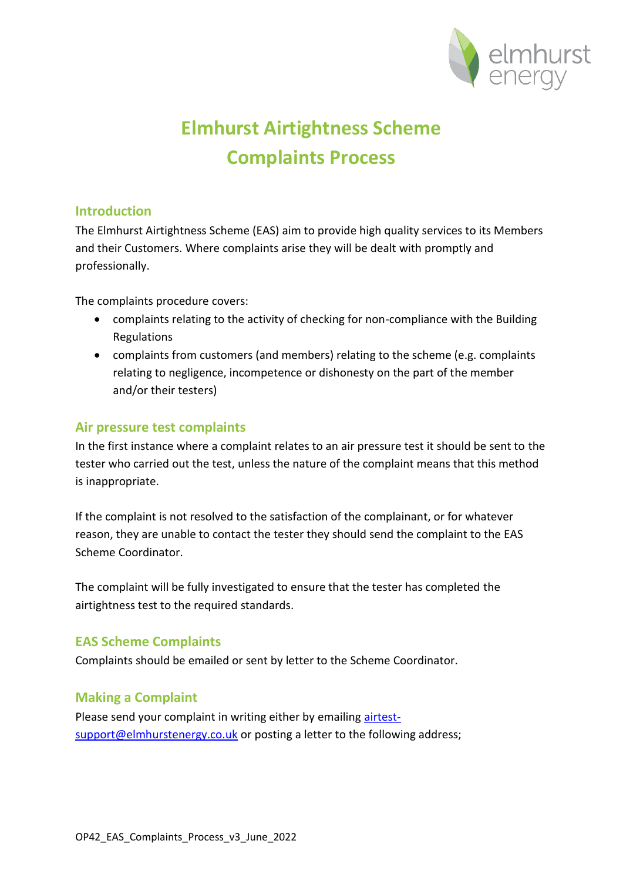

# **Elmhurst Airtightness Scheme Complaints Process**

### **Introduction**

The Elmhurst Airtightness Scheme (EAS) aim to provide high quality services to its Members and their Customers. Where complaints arise they will be dealt with promptly and professionally.

The complaints procedure covers:

- complaints relating to the activity of checking for non-compliance with the Building Regulations
- complaints from customers (and members) relating to the scheme (e.g. complaints relating to negligence, incompetence or dishonesty on the part of the member and/or their testers)

#### **Air pressure test complaints**

In the first instance where a complaint relates to an air pressure test it should be sent to the tester who carried out the test, unless the nature of the complaint means that this method is inappropriate.

If the complaint is not resolved to the satisfaction of the complainant, or for whatever reason, they are unable to contact the tester they should send the complaint to the EAS Scheme Coordinator.

The complaint will be fully investigated to ensure that the tester has completed the airtightness test to the required standards.

## **EAS Scheme Complaints**

Complaints should be emailed or sent by letter to the Scheme Coordinator.

## **Making a Complaint**

Please send your complaint in writing either by emailing airtestsupport@elmhurstenergy.co.uk or posting a letter to the following address;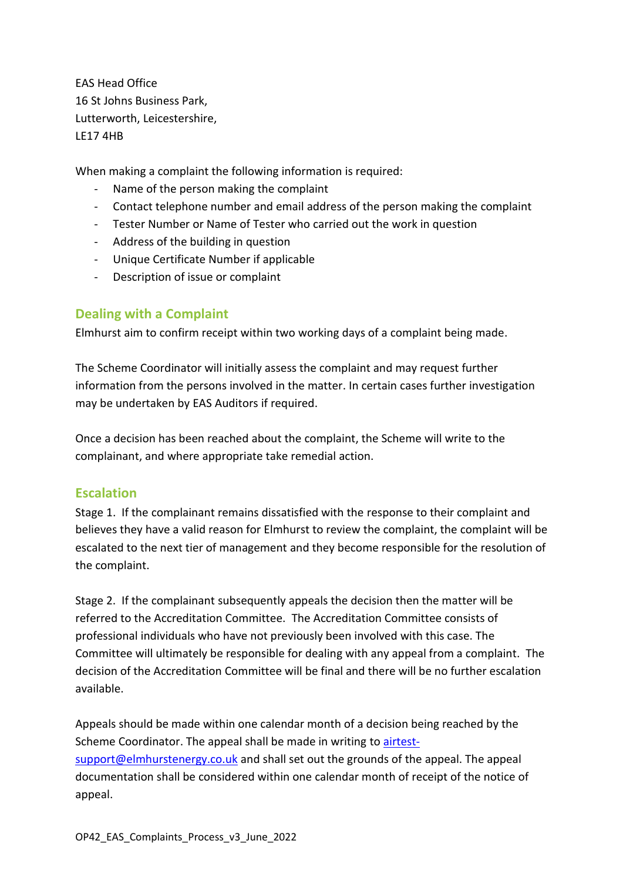EAS Head Office 16 St Johns Business Park, Lutterworth, Leicestershire, LE17 4HB

When making a complaint the following information is required:

- Name of the person making the complaint
- Contact telephone number and email address of the person making the complaint
- Tester Number or Name of Tester who carried out the work in question
- Address of the building in question
- Unique Certificate Number if applicable
- Description of issue or complaint

#### **Dealing with a Complaint**

Elmhurst aim to confirm receipt within two working days of a complaint being made.

The Scheme Coordinator will initially assess the complaint and may request further information from the persons involved in the matter. In certain cases further investigation may be undertaken by EAS Auditors if required.

Once a decision has been reached about the complaint, the Scheme will write to the complainant, and where appropriate take remedial action.

#### **Escalation**

Stage 1. If the complainant remains dissatisfied with the response to their complaint and believes they have a valid reason for Elmhurst to review the complaint, the complaint will be escalated to the next tier of management and they become responsible for the resolution of the complaint.

Stage 2. If the complainant subsequently appeals the decision then the matter will be referred to the Accreditation Committee. The Accreditation Committee consists of professional individuals who have not previously been involved with this case. The Committee will ultimately be responsible for dealing with any appeal from a complaint. The decision of the Accreditation Committee will be final and there will be no further escalation available.

Appeals should be made within one calendar month of a decision being reached by the Scheme Coordinator. The appeal shall be made in writing to airtestsupport@elmhurstenergy.co.uk and shall set out the grounds of the appeal. The appeal documentation shall be considered within one calendar month of receipt of the notice of appeal.